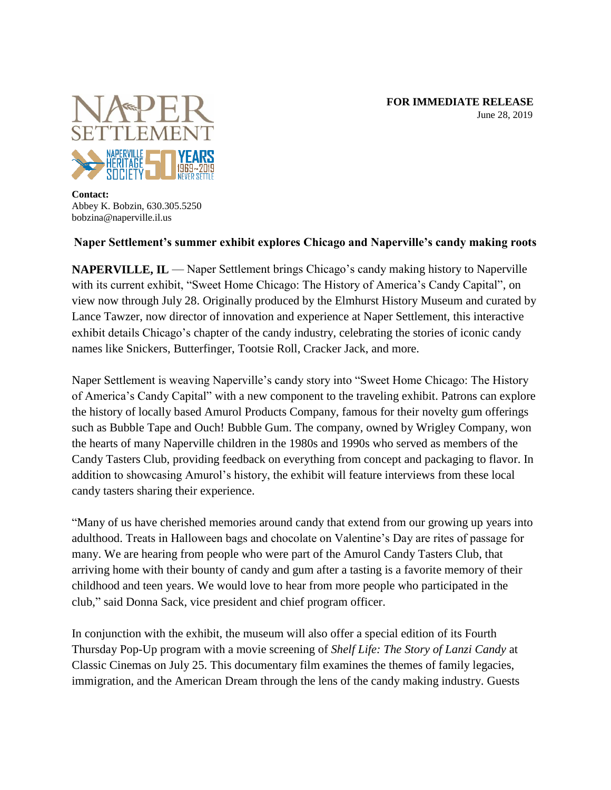**FOR IMMEDIATE RELEASE** June 28, 2019



**Contact:** Abbey K. Bobzin, 630.305.5250 bobzina@naperville.il.us

## **Naper Settlement's summer exhibit explores Chicago and Naperville's candy making roots**

**NAPERVILLE, IL** — Naper Settlement brings Chicago's candy making history to Naperville with its current exhibit, "Sweet Home Chicago: The History of America's Candy Capital", on view now through July 28. Originally produced by the Elmhurst History Museum and curated by Lance Tawzer, now director of innovation and experience at Naper Settlement, this interactive exhibit details Chicago's chapter of the candy industry, celebrating the stories of iconic candy names like Snickers, Butterfinger, Tootsie Roll, Cracker Jack, and more.

Naper Settlement is weaving Naperville's candy story into "Sweet Home Chicago: The History of America's Candy Capital" with a new component to the traveling exhibit. Patrons can explore the history of locally based Amurol Products Company, famous for their novelty gum offerings such as Bubble Tape and Ouch! Bubble Gum. The company, owned by Wrigley Company, won the hearts of many Naperville children in the 1980s and 1990s who served as members of the Candy Tasters Club, providing feedback on everything from concept and packaging to flavor. In addition to showcasing Amurol's history, the exhibit will feature interviews from these local candy tasters sharing their experience.

"Many of us have cherished memories around candy that extend from our growing up years into adulthood. Treats in Halloween bags and chocolate on Valentine's Day are rites of passage for many. We are hearing from people who were part of the Amurol Candy Tasters Club, that arriving home with their bounty of candy and gum after a tasting is a favorite memory of their childhood and teen years. We would love to hear from more people who participated in the club," said Donna Sack, vice president and chief program officer.

In conjunction with the exhibit, the museum will also offer a special edition of its Fourth Thursday Pop-Up program with a movie screening of *Shelf Life: The Story of Lanzi Candy* at Classic Cinemas on July 25. This documentary film examines the themes of family legacies, immigration, and the American Dream through the lens of the candy making industry. Guests